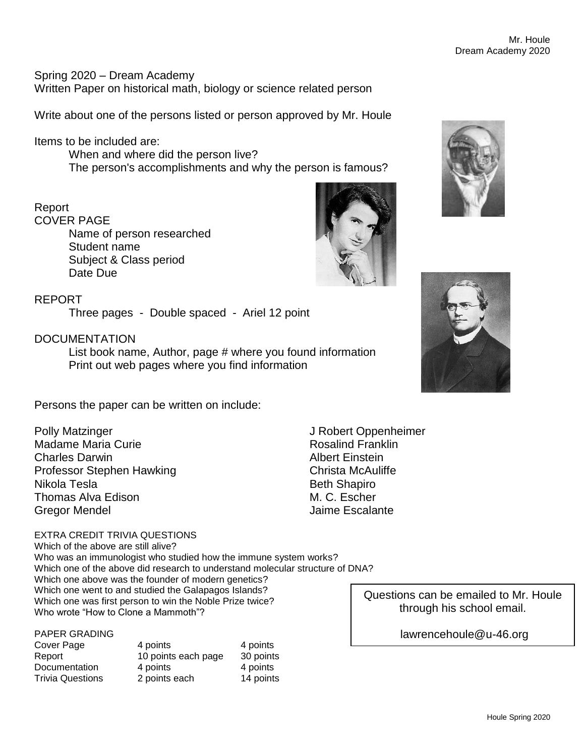Spring 2020 – Dream Academy Written Paper on historical math, biology or science related person

Write about one of the persons listed or person approved by Mr. Houle

## Items to be included are:

When and where did the person live? The person's accomplishments and why the person is famous?

## Report

COVER PAGE

Name of person researched Student name Subject & Class period Date Due

#### REPORT

Three pages - Double spaced - Ariel 12 point

## **DOCUMENTATION**

List book name, Author, page # where you found information Print out web pages where you find information

Persons the paper can be written on include:

Polly Matzinger Madame Maria Curie Charles Darwin Professor Stephen Hawking Nikola Tesla Thomas Alva Edison Gregor Mendel

#### EXTRA CREDIT TRIVIA QUESTIONS

Which of the above are still alive? Who was an immunologist who studied how the immune system works? Which one of the above did research to understand molecular structure of DNA? Which one above was the founder of modern genetics? Which one went to and studied the Galapagos Islands? Which one was first person to win the Noble Prize twice? Who wrote "How to Clone a Mammoth"?

# PAPER GRADING

| Cover Page                        | 4 points            | 4 points  |
|-----------------------------------|---------------------|-----------|
| Report                            | 10 points each page | 30 points |
| Documentation<br>Trivia Questions | 4 points            | 4 points  |
|                                   | 2 points each       | 14 points |

J Robert Oppenheimer Rosalind Franklin Albert Einstein Christa McAuliffe Beth Shapiro M. C. Escher Jaime Escalante







Questions can be emailed to Mr. Houle through his school email.

lawrencehoule@u-46.org